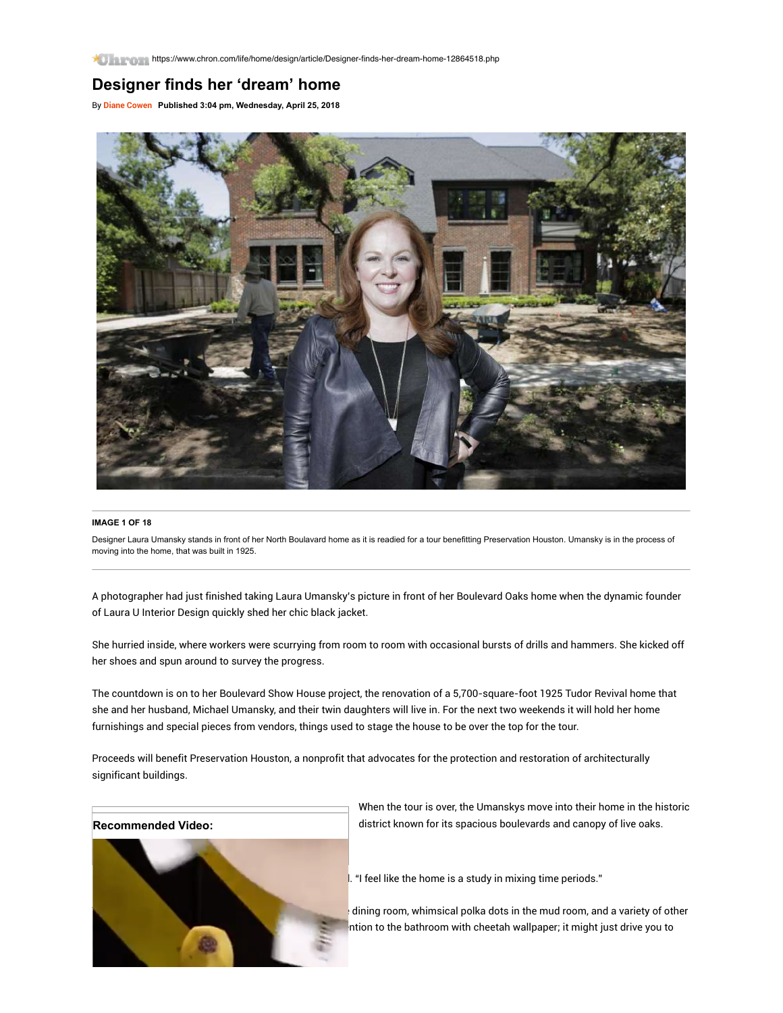## **Designer finds her 'dream' home**

By [Diane Cowen](https://www.chron.com/author/diane-cowen/) **Published 3:04 pm, Wednesday, April 25, 2018**



## **IMAGE 1 OF 18**

Designer Laura Umansky stands in front of her North Boulavard home as it is readied for a tour benefitting Preservation Houston. Umansky is in the process of moving into the home, that was built in 1925.

A photographer had just finished taking Laura Umansky's picture in front of her Boulevard Oaks home when the dynamic founder of Laura U Interior Design quickly shed her chic black jacket.

She hurried inside, where workers were scurrying from room to room with occasional bursts of drills and hammers. She kicked off her shoes and spun around to survey the progress.

The countdown is on to her Boulevard Show House project, the renovation of a 5,700-square-foot 1925 Tudor Revival home that she and her husband, Michael Umansky, and their twin daughters will live in. For the next two weekends it will hold her home furnishings and special pieces from vendors, things used to stage the house to be over the top for the tour.

Proceeds will benefit Preservation Houston, a nonprofit that advocates for the protection and restoration of architecturally significant buildings.



When the tour is over, the Umanskys move into their home in the historic district known for its spacious boulevards and canopy of live oaks.

. "I feel like the home is a study in mixing time periods."

dining room, whimsical polka dots in the mud room, and a variety of other ntion to the bathroom with cheetah wallpaper; it might just drive you to